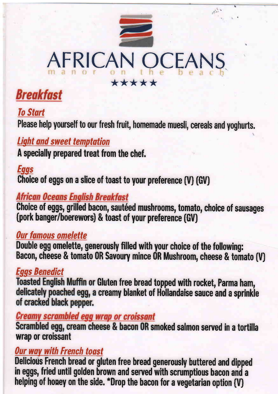# AFRICAN OCEA \*\*\*\*\*

jrl)'

# **Breakfast**

# **To Start**

Please help yourself to our fresh fruit, homemade muesli, cereals and yoghurts.

# Light and sweet tenptotion

A specially prepared treat from the chef.

# Eggs

Choice of eggs on a slice of toast to your preference (V) (GV)

#### African Oceans English Breakfast

Choice of eggs, grilled bacon, sautéed mushrooms, tomato, choice of sausages (pork banger/boerewors) & toast of your preference (GV)

#### Our famous omelette

Double egg omelette, generously filled with your choice of the following: Bacon, cheese & tomato 0R Savoury mince 0R Mushroom, cheese & tomato (v)

# Eggs Benedict

Toasted English Muffin or Gluten free bread topped with rocket, Parma ham, delicately poached egg, a creamy blanket of Hollandaise sauce and a sprinkle of cracked black pepper.

#### **Creamy scrambled egg wrap or croissant**

Scrambled egg, cream cheese & bacon OR smoked salmon served in a tortilla wrap or croissant

#### **Our way with French toast**

Delicious French bread or gluten free bread generously buttered and dipped in eggs, med antifigorien brown and served with scramptious bacon and<br>helping of honey on the side. \*Drop the bacon for a vegetarian option (V) in eggs, fried until golden brown and served with scrumptious bacon and a